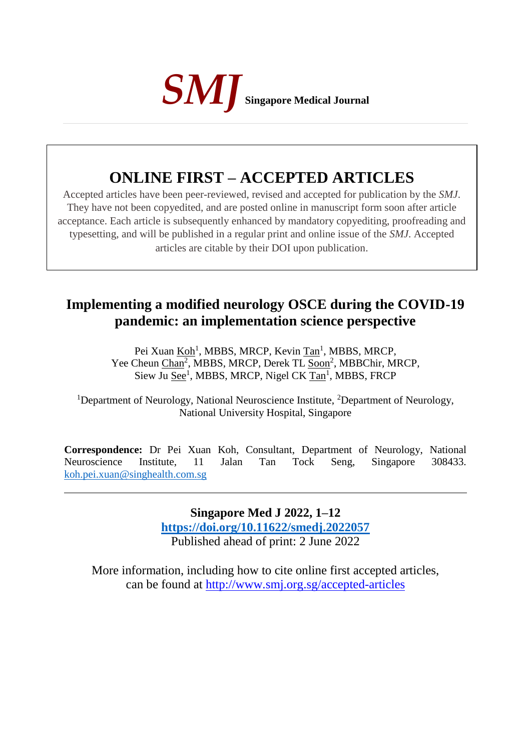

# **ONLINE FIRST – ACCEPTED ARTICLES**

Accepted articles have been peer-reviewed, revised and accepted for publication by the *SMJ*. They have not been copyedited, and are posted online in manuscript form soon after article acceptance. Each article is subsequently enhanced by mandatory copyediting, proofreading and typesetting, and will be published in a regular print and online issue of the *SMJ*. Accepted articles are citable by their DOI upon publication.

## **Implementing a modified neurology OSCE during the COVID-19 pandemic: an implementation science perspective**

Pei Xuan <u>Koh</u><sup>1</sup>, MBBS, MRCP, Kevin Tan<sup>1</sup>, MBBS, MRCP, Yee Cheun Chan<sup>2</sup>, MBBS, MRCP, Derek TL Soon<sup>2</sup>, MBBChir, MRCP, Siew Ju See<sup>1</sup>, MBBS, MRCP, Nigel CK Tan<sup>1</sup>, MBBS, FRCP

<sup>1</sup>Department of Neurology, National Neuroscience Institute, <sup>2</sup>Department of Neurology, National University Hospital, Singapore

**Correspondence:** Dr Pei Xuan Koh, Consultant, Department of Neurology, National Neuroscience Institute, 11 Jalan Tan Tock Seng, Singapore 308433. [koh.pei.xuan@singhealth.com.sg](mailto:koh.pei.xuan@singhealth.com.sg)

> **Singapore Med J 2022, 1–12 [https://doi.org/1](https://doi.org/10.11622/smedj.2018150)0.11622/smedj.2022057** Published ahead of print: 2 June 2022

More information, including how to cite online first accepted articles, can be found at http://www.smj.org.sg/accepted-articles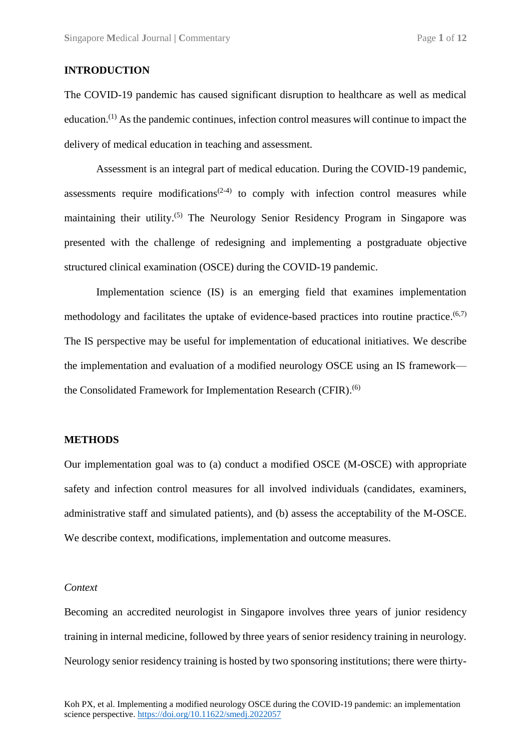## **INTRODUCTION**

The COVID-19 pandemic has caused significant disruption to healthcare as well as medical education.<sup>(1)</sup> As the pandemic continues, infection control measures will continue to impact the delivery of medical education in teaching and assessment.

Assessment is an integral part of medical education. During the COVID-19 pandemic, assessments require modifications<sup> $(2-4)$ </sup> to comply with infection control measures while maintaining their utility.<sup>(5)</sup> The Neurology Senior Residency Program in Singapore was presented with the challenge of redesigning and implementing a postgraduate objective structured clinical examination (OSCE) during the COVID-19 pandemic.

Implementation science (IS) is an emerging field that examines implementation methodology and facilitates the uptake of evidence-based practices into routine practice.<sup>(6,7)</sup> The IS perspective may be useful for implementation of educational initiatives. We describe the implementation and evaluation of a modified neurology OSCE using an IS framework the Consolidated Framework for Implementation Research (CFIR).<sup>(6)</sup>

#### **METHODS**

Our implementation goal was to (a) conduct a modified OSCE (M-OSCE) with appropriate safety and infection control measures for all involved individuals (candidates, examiners, administrative staff and simulated patients), and (b) assess the acceptability of the M-OSCE. We describe context, modifications, implementation and outcome measures.

#### *Context*

Becoming an accredited neurologist in Singapore involves three years of junior residency training in internal medicine, followed by three years of senior residency training in neurology. Neurology senior residency training is hosted by two sponsoring institutions; there were thirty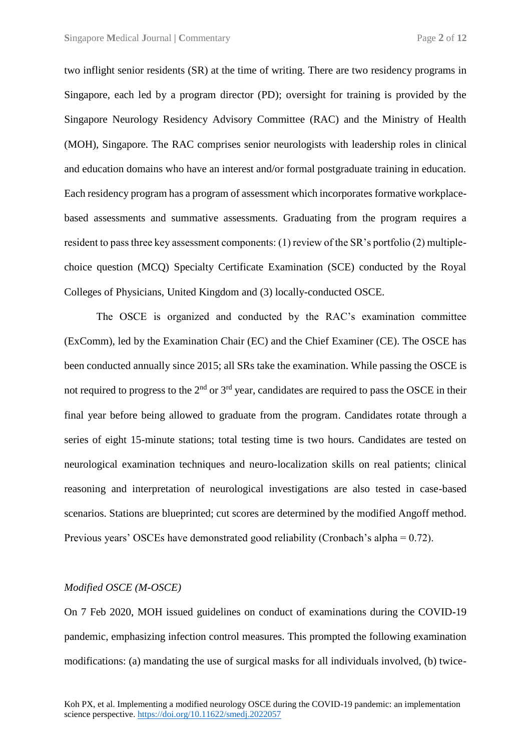two inflight senior residents (SR) at the time of writing. There are two residency programs in Singapore, each led by a program director (PD); oversight for training is provided by the Singapore Neurology Residency Advisory Committee (RAC) and the Ministry of Health (MOH), Singapore. The RAC comprises senior neurologists with leadership roles in clinical and education domains who have an interest and/or formal postgraduate training in education. Each residency program has a program of assessment which incorporates formative workplacebased assessments and summative assessments. Graduating from the program requires a resident to pass three key assessment components: (1) review of the SR's portfolio (2) multiplechoice question (MCQ) Specialty Certificate Examination (SCE) conducted by the Royal Colleges of Physicians, United Kingdom and (3) locally-conducted OSCE.

The OSCE is organized and conducted by the RAC's examination committee (ExComm), led by the Examination Chair (EC) and the Chief Examiner (CE). The OSCE has been conducted annually since 2015; all SRs take the examination. While passing the OSCE is not required to progress to the  $2<sup>nd</sup>$  or  $3<sup>rd</sup>$  year, candidates are required to pass the OSCE in their final year before being allowed to graduate from the program. Candidates rotate through a series of eight 15-minute stations; total testing time is two hours. Candidates are tested on neurological examination techniques and neuro-localization skills on real patients; clinical reasoning and interpretation of neurological investigations are also tested in case-based scenarios. Stations are blueprinted; cut scores are determined by the modified Angoff method. Previous years' OSCEs have demonstrated good reliability (Cronbach's alpha = 0.72).

#### *Modified OSCE (M-OSCE)*

On 7 Feb 2020, MOH issued guidelines on conduct of examinations during the COVID-19 pandemic, emphasizing infection control measures. This prompted the following examination modifications: (a) mandating the use of surgical masks for all individuals involved, (b) twice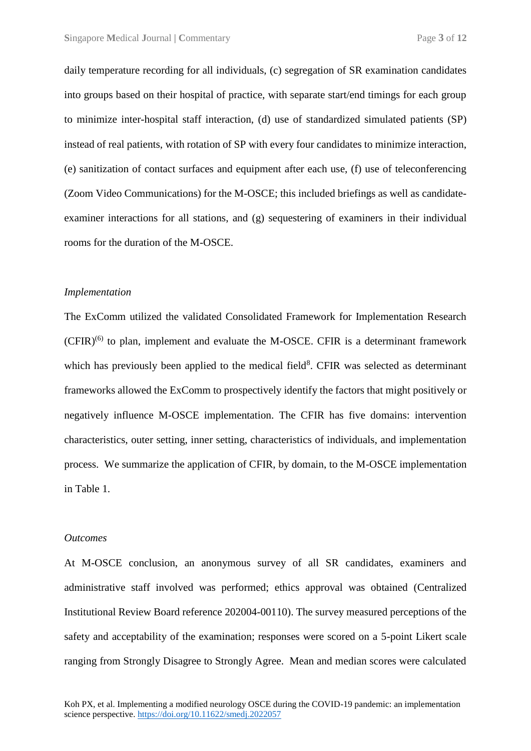daily temperature recording for all individuals, (c) segregation of SR examination candidates into groups based on their hospital of practice, with separate start/end timings for each group to minimize inter-hospital staff interaction, (d) use of standardized simulated patients (SP) instead of real patients, with rotation of SP with every four candidates to minimize interaction, (e) sanitization of contact surfaces and equipment after each use, (f) use of teleconferencing (Zoom Video Communications) for the M-OSCE; this included briefings as well as candidateexaminer interactions for all stations, and (g) sequestering of examiners in their individual rooms for the duration of the M-OSCE.

#### *Implementation*

The ExComm utilized the validated Consolidated Framework for Implementation Research  $(CFIR)^{(6)}$  to plan, implement and evaluate the M-OSCE. CFIR is a determinant framework which has previously been applied to the medical field $8$ . CFIR was selected as determinant frameworks allowed the ExComm to prospectively identify the factors that might positively or negatively influence M-OSCE implementation. The CFIR has five domains: intervention characteristics, outer setting, inner setting, characteristics of individuals, and implementation process. We summarize the application of CFIR, by domain, to the M-OSCE implementation in Table 1.

#### *Outcomes*

At M-OSCE conclusion, an anonymous survey of all SR candidates, examiners and administrative staff involved was performed; ethics approval was obtained (Centralized Institutional Review Board reference 202004-00110). The survey measured perceptions of the safety and acceptability of the examination; responses were scored on a 5-point Likert scale ranging from Strongly Disagree to Strongly Agree. Mean and median scores were calculated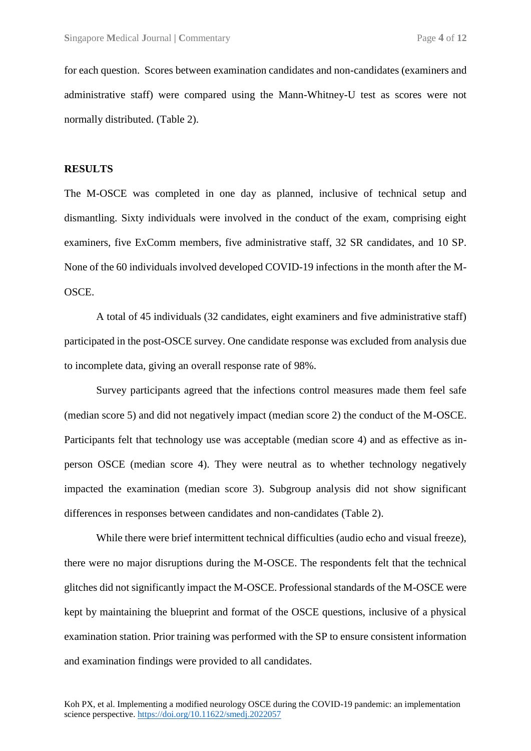for each question. Scores between examination candidates and non-candidates (examiners and administrative staff) were compared using the Mann-Whitney-U test as scores were not normally distributed. (Table 2).

#### **RESULTS**

The M-OSCE was completed in one day as planned, inclusive of technical setup and dismantling. Sixty individuals were involved in the conduct of the exam, comprising eight examiners, five ExComm members, five administrative staff, 32 SR candidates, and 10 SP. None of the 60 individuals involved developed COVID-19 infections in the month after the M-OSCE.

A total of 45 individuals (32 candidates, eight examiners and five administrative staff) participated in the post-OSCE survey. One candidate response was excluded from analysis due to incomplete data, giving an overall response rate of 98%.

Survey participants agreed that the infections control measures made them feel safe (median score 5) and did not negatively impact (median score 2) the conduct of the M-OSCE. Participants felt that technology use was acceptable (median score 4) and as effective as inperson OSCE (median score 4). They were neutral as to whether technology negatively impacted the examination (median score 3). Subgroup analysis did not show significant differences in responses between candidates and non-candidates (Table 2).

While there were brief intermittent technical difficulties (audio echo and visual freeze), there were no major disruptions during the M-OSCE. The respondents felt that the technical glitches did not significantly impact the M-OSCE. Professional standards of the M-OSCE were kept by maintaining the blueprint and format of the OSCE questions, inclusive of a physical examination station. Prior training was performed with the SP to ensure consistent information and examination findings were provided to all candidates.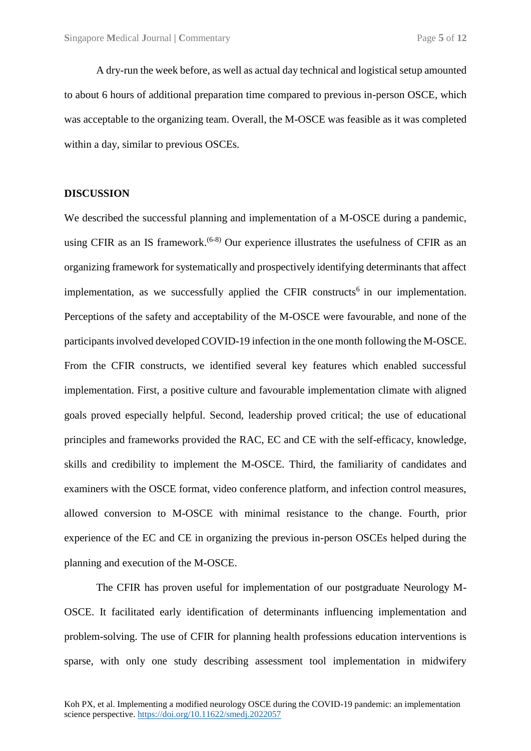A dry-run the week before, as well as actual day technical and logistical setup amounted to about 6 hours of additional preparation time compared to previous in-person OSCE, which was acceptable to the organizing team. Overall, the M-OSCE was feasible as it was completed within a day, similar to previous OSCEs.

#### **DISCUSSION**

We described the successful planning and implementation of a M-OSCE during a pandemic, using CFIR as an IS framework.<sup>(6-8)</sup> Our experience illustrates the usefulness of CFIR as an organizing framework for systematically and prospectively identifying determinants that affect implementation, as we successfully applied the CFIR constructs<sup>6</sup> in our implementation. Perceptions of the safety and acceptability of the M-OSCE were favourable, and none of the participants involved developed COVID-19 infection in the one month following the M-OSCE. From the CFIR constructs, we identified several key features which enabled successful implementation. First, a positive culture and favourable implementation climate with aligned goals proved especially helpful. Second, leadership proved critical; the use of educational principles and frameworks provided the RAC, EC and CE with the self-efficacy, knowledge, skills and credibility to implement the M-OSCE. Third, the familiarity of candidates and examiners with the OSCE format, video conference platform, and infection control measures, allowed conversion to M-OSCE with minimal resistance to the change. Fourth, prior experience of the EC and CE in organizing the previous in-person OSCEs helped during the planning and execution of the M-OSCE.

The CFIR has proven useful for implementation of our postgraduate Neurology M-OSCE. It facilitated early identification of determinants influencing implementation and problem-solving. The use of CFIR for planning health professions education interventions is sparse, with only one study describing assessment tool implementation in midwifery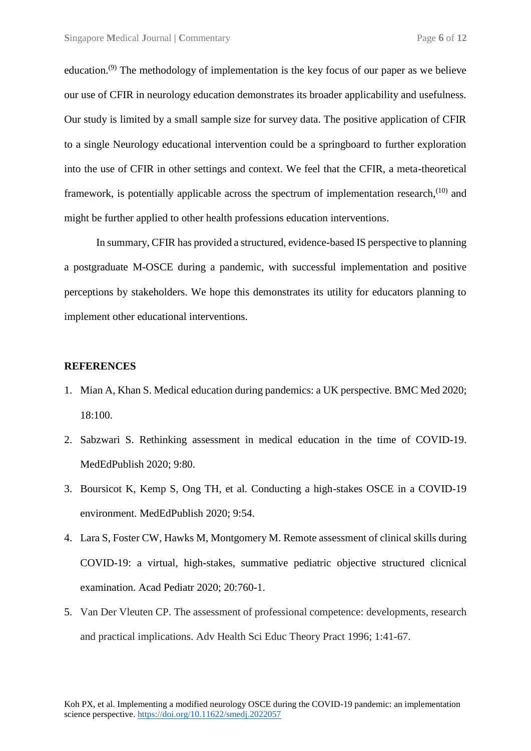education.<sup>(9)</sup> The methodology of implementation is the key focus of our paper as we believe our use of CFIR in neurology education demonstrates its broader applicability and usefulness. Our study is limited by a small sample size for survey data. The positive application of CFIR to a single Neurology educational intervention could be a springboard to further exploration into the use of CFIR in other settings and context. We feel that the CFIR, a meta-theoretical framework, is potentially applicable across the spectrum of implementation research,  $(10)$  and might be further applied to other health professions education interventions.

In summary, CFIR has provided a structured, evidence-based IS perspective to planning a postgraduate M-OSCE during a pandemic, with successful implementation and positive perceptions by stakeholders. We hope this demonstrates its utility for educators planning to implement other educational interventions.

#### **REFERENCES**

- 1. Mian A, Khan S. Medical education during pandemics: a UK perspective. BMC Med 2020; 18:100.
- 2. Sabzwari S. Rethinking assessment in medical education in the time of COVID-19. MedEdPublish 2020; 9:80.
- 3. Boursicot K, Kemp S, Ong TH, et al. Conducting a high-stakes OSCE in a COVID-19 environment. MedEdPublish 2020; 9:54.
- 4. Lara S, Foster CW, Hawks M, Montgomery M. Remote assessment of clinical skills during COVID-19: a virtual, high-stakes, summative pediatric objective structured clicnical examination. Acad Pediatr 2020; 20:760-1.
- 5. Van Der Vleuten CP. The assessment of professional competence: developments, research and practical implications. Adv Health Sci Educ Theory Pract 1996; 1:41-67.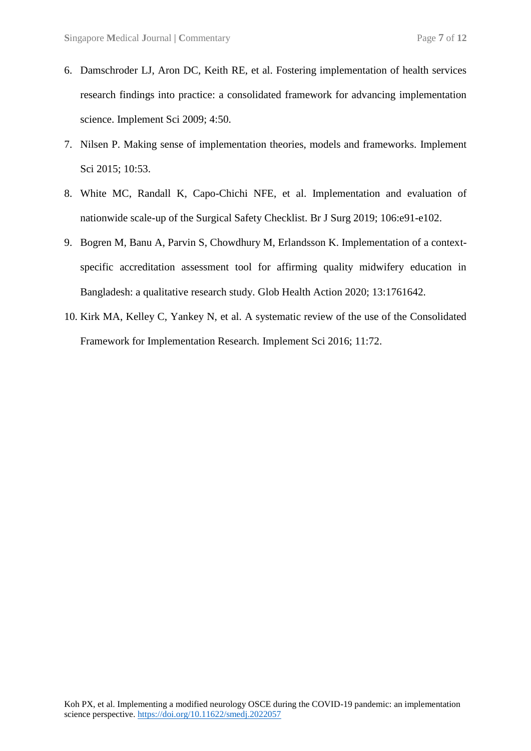- 6. Damschroder LJ, Aron DC, Keith RE, et al. Fostering implementation of health services research findings into practice: a consolidated framework for advancing implementation science. Implement Sci 2009; 4:50.
- 7. Nilsen P. Making sense of implementation theories, models and frameworks. Implement Sci 2015; 10:53.
- 8. White MC, Randall K, Capo-Chichi NFE, et al. Implementation and evaluation of nationwide scale-up of the Surgical Safety Checklist. Br J Surg 2019; 106:e91-e102.
- 9. Bogren M, Banu A, Parvin S, Chowdhury M, Erlandsson K. Implementation of a contextspecific accreditation assessment tool for affirming quality midwifery education in Bangladesh: a qualitative research study. Glob Health Action 2020; 13:1761642.
- 10. Kirk MA, Kelley C, Yankey N, et al. A systematic review of the use of the Consolidated Framework for Implementation Research. Implement Sci 2016; 11:72.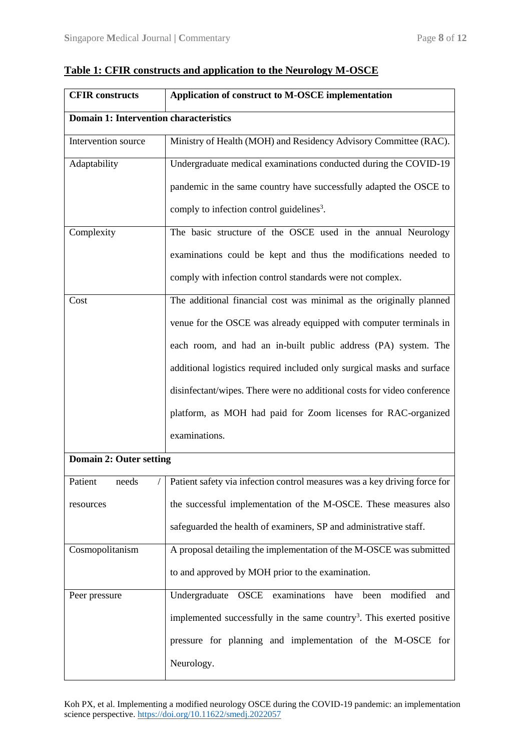| <b>CFIR</b> constructs                        | Application of construct to M-OSCE implementation                                 |  |  |  |  |  |
|-----------------------------------------------|-----------------------------------------------------------------------------------|--|--|--|--|--|
| <b>Domain 1: Intervention characteristics</b> |                                                                                   |  |  |  |  |  |
| Intervention source                           | Ministry of Health (MOH) and Residency Advisory Committee (RAC).                  |  |  |  |  |  |
| Adaptability                                  | Undergraduate medical examinations conducted during the COVID-19                  |  |  |  |  |  |
|                                               | pandemic in the same country have successfully adapted the OSCE to                |  |  |  |  |  |
|                                               | comply to infection control guidelines <sup>3</sup> .                             |  |  |  |  |  |
| Complexity                                    | The basic structure of the OSCE used in the annual Neurology                      |  |  |  |  |  |
|                                               | examinations could be kept and thus the modifications needed to                   |  |  |  |  |  |
|                                               | comply with infection control standards were not complex.                         |  |  |  |  |  |
| Cost                                          | The additional financial cost was minimal as the originally planned               |  |  |  |  |  |
|                                               | venue for the OSCE was already equipped with computer terminals in                |  |  |  |  |  |
|                                               | each room, and had an in-built public address (PA) system. The                    |  |  |  |  |  |
|                                               | additional logistics required included only surgical masks and surface            |  |  |  |  |  |
|                                               | disinfectant/wipes. There were no additional costs for video conference           |  |  |  |  |  |
|                                               | platform, as MOH had paid for Zoom licenses for RAC-organized                     |  |  |  |  |  |
|                                               | examinations.                                                                     |  |  |  |  |  |
| Domain 2: Outer setting                       |                                                                                   |  |  |  |  |  |
| Patient<br>needs                              | Patient safety via infection control measures was a key driving force for         |  |  |  |  |  |
| resources                                     | the successful implementation of the M-OSCE. These measures also                  |  |  |  |  |  |
|                                               | safeguarded the health of examiners, SP and administrative staff.                 |  |  |  |  |  |
| Cosmopolitanism                               | A proposal detailing the implementation of the M-OSCE was submitted               |  |  |  |  |  |
|                                               | to and approved by MOH prior to the examination.                                  |  |  |  |  |  |
| Peer pressure                                 | Undergraduate<br><b>OSCE</b><br>examinations<br>modified<br>have<br>been<br>and   |  |  |  |  |  |
|                                               | implemented successfully in the same country <sup>3</sup> . This exerted positive |  |  |  |  |  |
|                                               | pressure for planning and implementation of the M-OSCE for                        |  |  |  |  |  |
|                                               | Neurology.                                                                        |  |  |  |  |  |

## **Table 1: CFIR constructs and application to the Neurology M-OSCE**

Koh PX, et al. Implementing a modified neurology OSCE during the COVID-19 pandemic: an implementation science perspective.<https://doi.org/10.11622/smedj.2022057>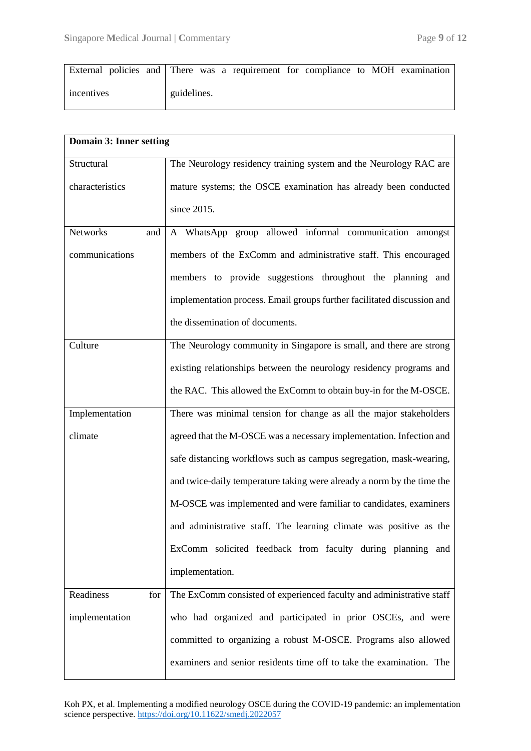|            |  |             |  | External policies and There was a requirement for compliance to MOH examination |  |  |  |
|------------|--|-------------|--|---------------------------------------------------------------------------------|--|--|--|
| incentives |  | guidelines. |  |                                                                                 |  |  |  |

| Domain 3: Inner setting |                                                                         |
|-------------------------|-------------------------------------------------------------------------|
| Structural              | The Neurology residency training system and the Neurology RAC are       |
| characteristics         | mature systems; the OSCE examination has already been conducted         |
|                         | since 2015.                                                             |
| <b>Networks</b><br>and  | A WhatsApp group allowed informal communication amongst                 |
| communications          | members of the ExComm and administrative staff. This encouraged         |
|                         | members to provide suggestions throughout the planning and              |
|                         | implementation process. Email groups further facilitated discussion and |
|                         | the dissemination of documents.                                         |
| Culture                 | The Neurology community in Singapore is small, and there are strong     |
|                         | existing relationships between the neurology residency programs and     |
|                         | the RAC. This allowed the ExComm to obtain buy-in for the M-OSCE.       |
| Implementation          | There was minimal tension for change as all the major stakeholders      |
| climate                 | agreed that the M-OSCE was a necessary implementation. Infection and    |
|                         | safe distancing workflows such as campus segregation, mask-wearing,     |
|                         | and twice-daily temperature taking were already a norm by the time the  |
|                         | M-OSCE was implemented and were familiar to candidates, examiners       |
|                         | and administrative staff. The learning climate was positive as the      |
|                         | ExComm solicited feedback from faculty during planning and              |
|                         | implementation.                                                         |
| Readiness<br>for        | The ExComm consisted of experienced faculty and administrative staff    |
| implementation          | who had organized and participated in prior OSCEs, and were             |
|                         | committed to organizing a robust M-OSCE. Programs also allowed          |
|                         | examiners and senior residents time off to take the examination. The    |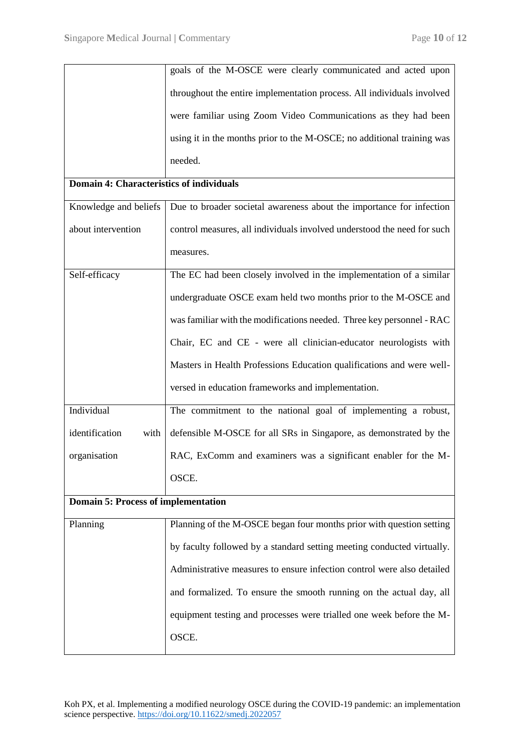|                                            | goals of the M-OSCE were clearly communicated and acted upon            |  |  |  |  |  |
|--------------------------------------------|-------------------------------------------------------------------------|--|--|--|--|--|
|                                            | throughout the entire implementation process. All individuals involved  |  |  |  |  |  |
|                                            | were familiar using Zoom Video Communications as they had been          |  |  |  |  |  |
|                                            | using it in the months prior to the M-OSCE; no additional training was  |  |  |  |  |  |
|                                            | needed.                                                                 |  |  |  |  |  |
| Domain 4: Characteristics of individuals   |                                                                         |  |  |  |  |  |
| Knowledge and beliefs                      | Due to broader societal awareness about the importance for infection    |  |  |  |  |  |
| about intervention                         | control measures, all individuals involved understood the need for such |  |  |  |  |  |
|                                            | measures.                                                               |  |  |  |  |  |
| Self-efficacy                              | The EC had been closely involved in the implementation of a similar     |  |  |  |  |  |
|                                            | undergraduate OSCE exam held two months prior to the M-OSCE and         |  |  |  |  |  |
|                                            | was familiar with the modifications needed. Three key personnel - RAC   |  |  |  |  |  |
|                                            | Chair, EC and CE - were all clinician-educator neurologists with        |  |  |  |  |  |
|                                            | Masters in Health Professions Education qualifications and were well-   |  |  |  |  |  |
|                                            | versed in education frameworks and implementation.                      |  |  |  |  |  |
| Individual                                 | The commitment to the national goal of implementing a robust,           |  |  |  |  |  |
| identification<br>with                     | defensible M-OSCE for all SRs in Singapore, as demonstrated by the      |  |  |  |  |  |
| organisation                               | RAC, ExComm and examiners was a significant enabler for the M-          |  |  |  |  |  |
|                                            | OSCE.                                                                   |  |  |  |  |  |
| <b>Domain 5: Process of implementation</b> |                                                                         |  |  |  |  |  |
| Planning                                   | Planning of the M-OSCE began four months prior with question setting    |  |  |  |  |  |
|                                            | by faculty followed by a standard setting meeting conducted virtually.  |  |  |  |  |  |
|                                            | Administrative measures to ensure infection control were also detailed  |  |  |  |  |  |
|                                            | and formalized. To ensure the smooth running on the actual day, all     |  |  |  |  |  |
|                                            | equipment testing and processes were trialled one week before the M-    |  |  |  |  |  |
|                                            | OSCE.                                                                   |  |  |  |  |  |
|                                            |                                                                         |  |  |  |  |  |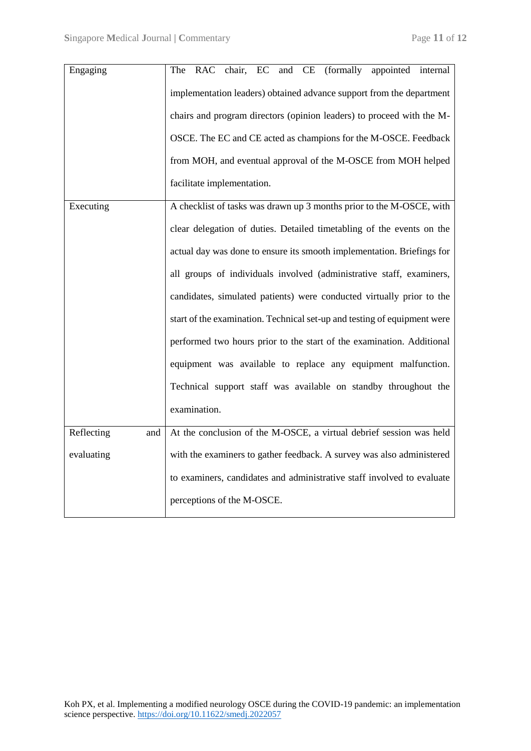| Engaging          | (formally<br>EC<br>and CE<br>appointed internal<br><b>RAC</b><br>chair,<br>The |  |  |  |  |  |  |  |  |
|-------------------|--------------------------------------------------------------------------------|--|--|--|--|--|--|--|--|
|                   | implementation leaders) obtained advance support from the department           |  |  |  |  |  |  |  |  |
|                   | chairs and program directors (opinion leaders) to proceed with the M-          |  |  |  |  |  |  |  |  |
|                   | OSCE. The EC and CE acted as champions for the M-OSCE. Feedback                |  |  |  |  |  |  |  |  |
|                   | from MOH, and eventual approval of the M-OSCE from MOH helped                  |  |  |  |  |  |  |  |  |
|                   | facilitate implementation.                                                     |  |  |  |  |  |  |  |  |
| Executing         | A checklist of tasks was drawn up 3 months prior to the M-OSCE, with           |  |  |  |  |  |  |  |  |
|                   | clear delegation of duties. Detailed timetabling of the events on the          |  |  |  |  |  |  |  |  |
|                   | actual day was done to ensure its smooth implementation. Briefings for         |  |  |  |  |  |  |  |  |
|                   | all groups of individuals involved (administrative staff, examiners,           |  |  |  |  |  |  |  |  |
|                   | candidates, simulated patients) were conducted virtually prior to the          |  |  |  |  |  |  |  |  |
|                   | start of the examination. Technical set-up and testing of equipment were       |  |  |  |  |  |  |  |  |
|                   | performed two hours prior to the start of the examination. Additional          |  |  |  |  |  |  |  |  |
|                   | equipment was available to replace any equipment malfunction.                  |  |  |  |  |  |  |  |  |
|                   | Technical support staff was available on standby throughout the                |  |  |  |  |  |  |  |  |
|                   | examination.                                                                   |  |  |  |  |  |  |  |  |
| Reflecting<br>and | At the conclusion of the M-OSCE, a virtual debrief session was held            |  |  |  |  |  |  |  |  |
| evaluating        | with the examiners to gather feedback. A survey was also administered          |  |  |  |  |  |  |  |  |
|                   | to examiners, candidates and administrative staff involved to evaluate         |  |  |  |  |  |  |  |  |
|                   | perceptions of the M-OSCE.                                                     |  |  |  |  |  |  |  |  |